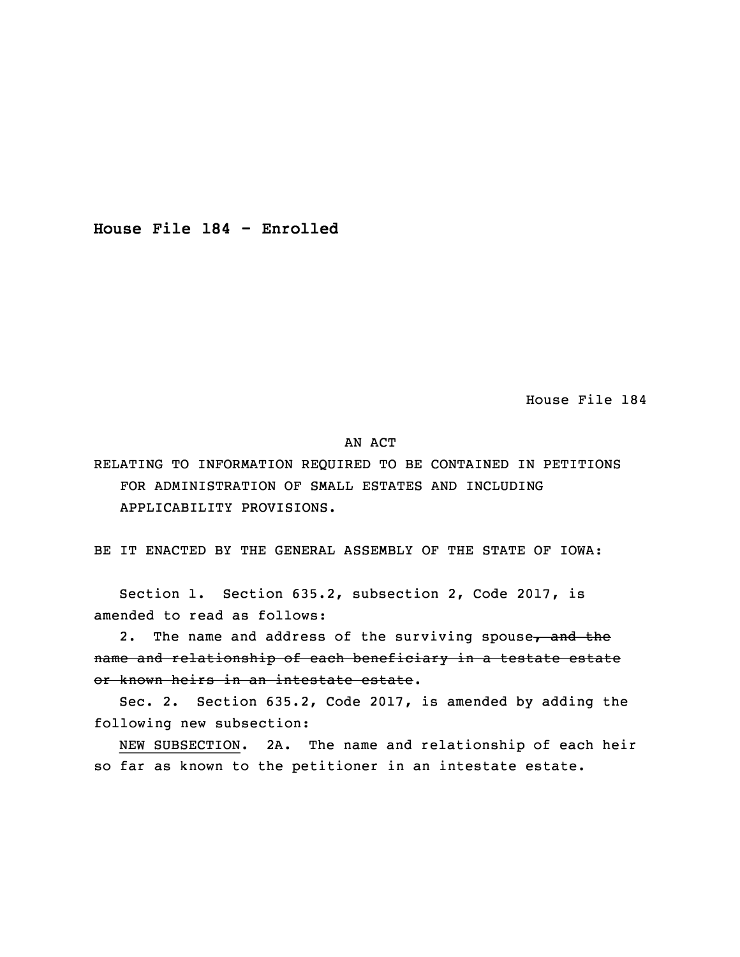**House File 184 - Enrolled**

House File 184

## AN ACT

RELATING TO INFORMATION REQUIRED TO BE CONTAINED IN PETITIONS FOR ADMINISTRATION OF SMALL ESTATES AND INCLUDING APPLICABILITY PROVISIONS.

BE IT ENACTED BY THE GENERAL ASSEMBLY OF THE STATE OF IOWA:

 Section 1. Section 635.2, subsection 2, Code 2017, is amended to read as follows:

2. The name and address of the surviving spouse, and the name and relationship of each beneficiary in <sup>a</sup> testate estate or known heirs in an intestate estate.

Sec. 2. Section 635.2, Code 2017, is amended by adding the following new subsection:

NEW SUBSECTION. 2A. The name and relationship of each heir so far as known to the petitioner in an intestate estate.